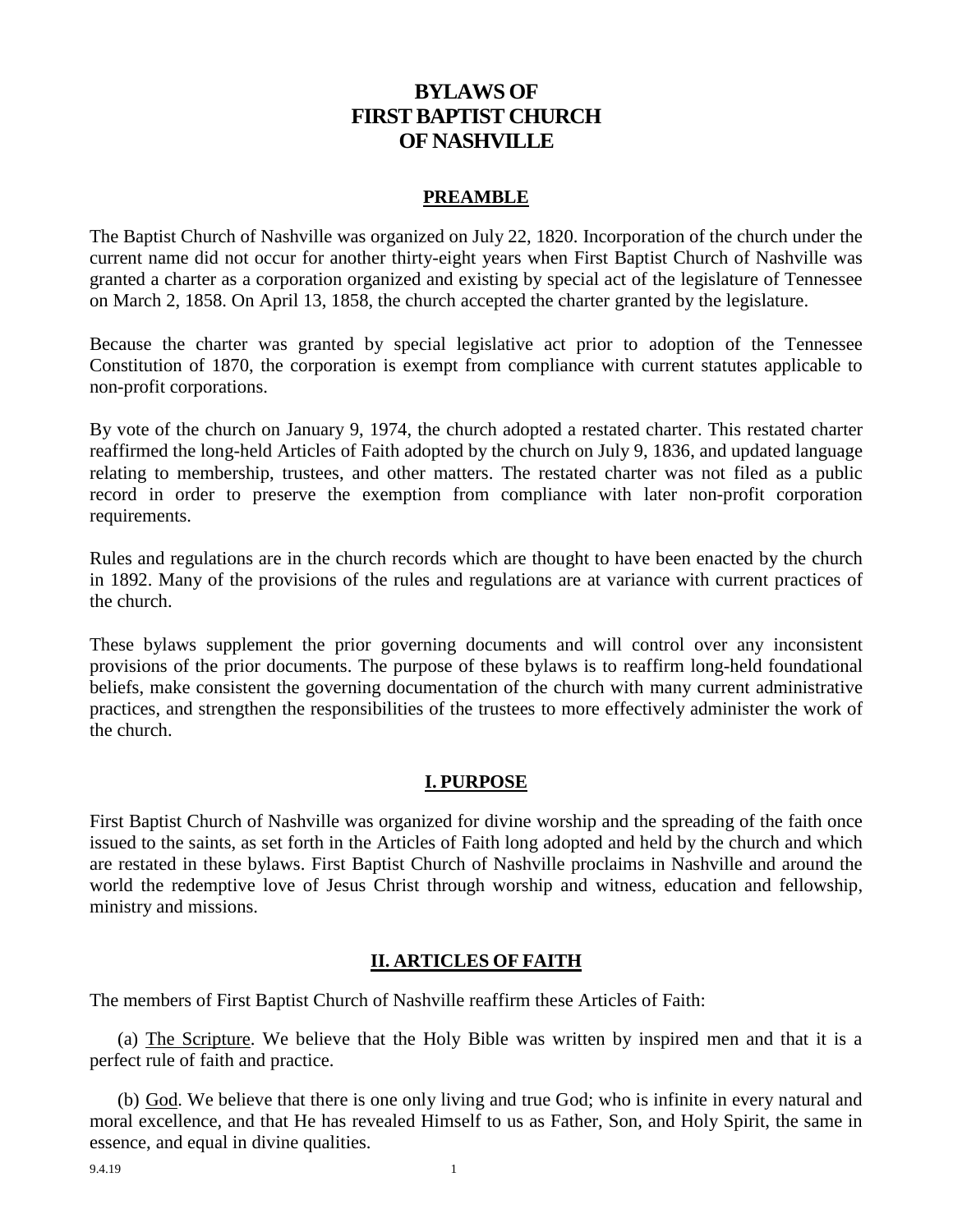# **BYLAWS OF FIRST BAPTIST CHURCH OF NASHVILLE**

#### **PREAMBLE**

The Baptist Church of Nashville was organized on July 22, 1820. Incorporation of the church under the current name did not occur for another thirty-eight years when First Baptist Church of Nashville was granted a charter as a corporation organized and existing by special act of the legislature of Tennessee on March 2, 1858. On April 13, 1858, the church accepted the charter granted by the legislature.

Because the charter was granted by special legislative act prior to adoption of the Tennessee Constitution of 1870, the corporation is exempt from compliance with current statutes applicable to non-profit corporations.

By vote of the church on January 9, 1974, the church adopted a restated charter. This restated charter reaffirmed the long-held Articles of Faith adopted by the church on July 9, 1836, and updated language relating to membership, trustees, and other matters. The restated charter was not filed as a public record in order to preserve the exemption from compliance with later non-profit corporation requirements.

Rules and regulations are in the church records which are thought to have been enacted by the church in 1892. Many of the provisions of the rules and regulations are at variance with current practices of the church.

These bylaws supplement the prior governing documents and will control over any inconsistent provisions of the prior documents. The purpose of these bylaws is to reaffirm long-held foundational beliefs, make consistent the governing documentation of the church with many current administrative practices, and strengthen the responsibilities of the trustees to more effectively administer the work of the church.

#### **I. PURPOSE**

First Baptist Church of Nashville was organized for divine worship and the spreading of the faith once issued to the saints, as set forth in the Articles of Faith long adopted and held by the church and which are restated in these bylaws. First Baptist Church of Nashville proclaims in Nashville and around the world the redemptive love of Jesus Christ through worship and witness, education and fellowship, ministry and missions.

#### **II. ARTICLES OF FAITH**

The members of First Baptist Church of Nashville reaffirm these Articles of Faith:

(a) The Scripture. We believe that the Holy Bible was written by inspired men and that it is a perfect rule of faith and practice.

(b) God. We believe that there is one only living and true God; who is infinite in every natural and moral excellence, and that He has revealed Himself to us as Father, Son, and Holy Spirit, the same in essence, and equal in divine qualities.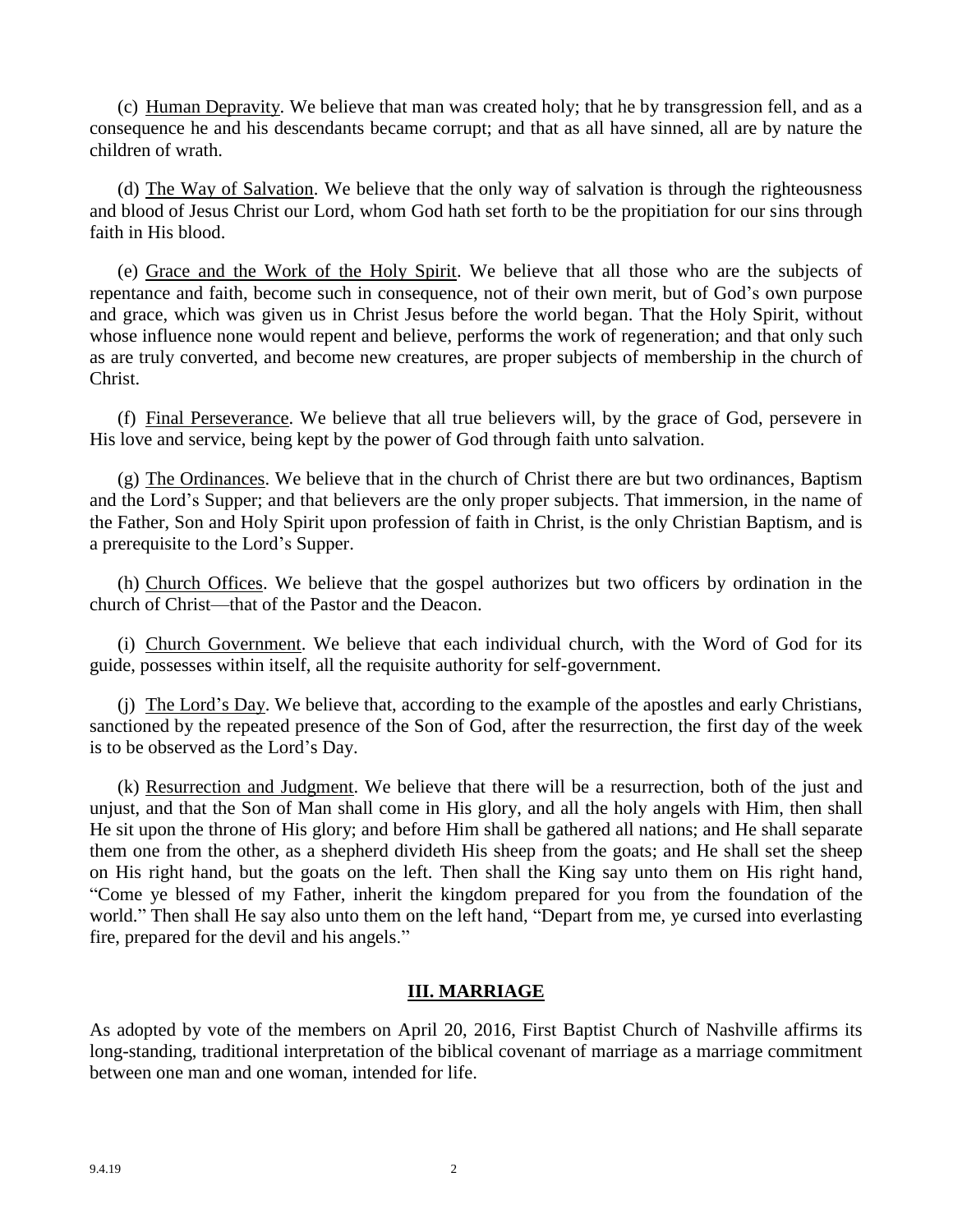(c) Human Depravity. We believe that man was created holy; that he by transgression fell, and as a consequence he and his descendants became corrupt; and that as all have sinned, all are by nature the children of wrath.

(d) The Way of Salvation. We believe that the only way of salvation is through the righteousness and blood of Jesus Christ our Lord, whom God hath set forth to be the propitiation for our sins through faith in His blood.

(e) Grace and the Work of the Holy Spirit. We believe that all those who are the subjects of repentance and faith, become such in consequence, not of their own merit, but of God's own purpose and grace, which was given us in Christ Jesus before the world began. That the Holy Spirit, without whose influence none would repent and believe, performs the work of regeneration; and that only such as are truly converted, and become new creatures, are proper subjects of membership in the church of Christ.

(f) Final Perseverance. We believe that all true believers will, by the grace of God, persevere in His love and service, being kept by the power of God through faith unto salvation.

(g) The Ordinances. We believe that in the church of Christ there are but two ordinances, Baptism and the Lord's Supper; and that believers are the only proper subjects. That immersion, in the name of the Father, Son and Holy Spirit upon profession of faith in Christ, is the only Christian Baptism, and is a prerequisite to the Lord's Supper.

(h) Church Offices. We believe that the gospel authorizes but two officers by ordination in the church of Christ—that of the Pastor and the Deacon.

(i) Church Government. We believe that each individual church, with the Word of God for its guide, possesses within itself, all the requisite authority for self-government.

(j) The Lord's Day. We believe that, according to the example of the apostles and early Christians, sanctioned by the repeated presence of the Son of God, after the resurrection, the first day of the week is to be observed as the Lord's Day.

(k) Resurrection and Judgment. We believe that there will be a resurrection, both of the just and unjust, and that the Son of Man shall come in His glory, and all the holy angels with Him, then shall He sit upon the throne of His glory; and before Him shall be gathered all nations; and He shall separate them one from the other, as a shepherd divideth His sheep from the goats; and He shall set the sheep on His right hand, but the goats on the left. Then shall the King say unto them on His right hand, "Come ye blessed of my Father, inherit the kingdom prepared for you from the foundation of the world." Then shall He say also unto them on the left hand, "Depart from me, ye cursed into everlasting fire, prepared for the devil and his angels."

## **III. MARRIAGE**

As adopted by vote of the members on April 20, 2016, First Baptist Church of Nashville affirms its long-standing, traditional interpretation of the biblical covenant of marriage as a marriage commitment between one man and one woman, intended for life.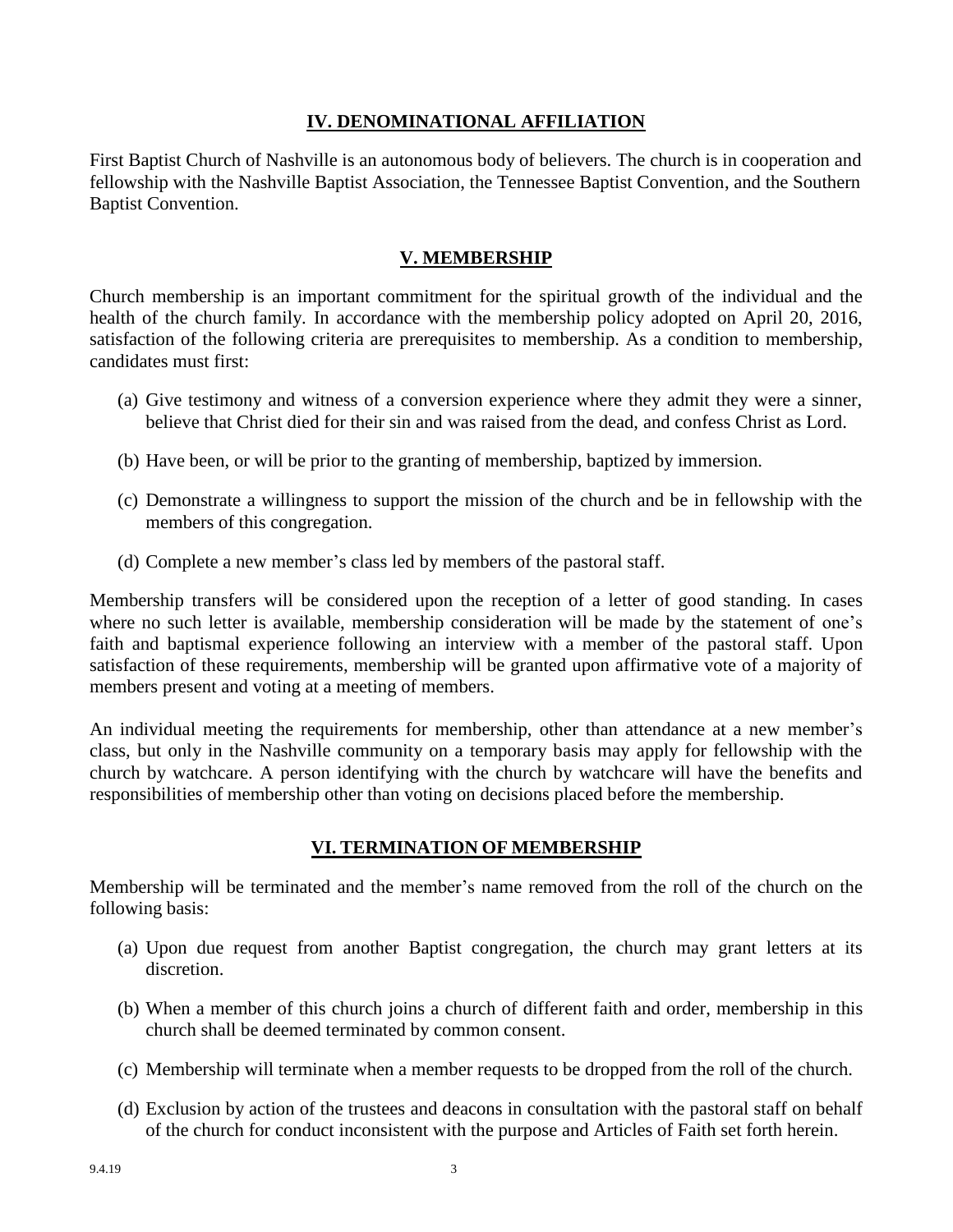## **IV. DENOMINATIONAL AFFILIATION**

First Baptist Church of Nashville is an autonomous body of believers. The church is in cooperation and fellowship with the Nashville Baptist Association, the Tennessee Baptist Convention, and the Southern Baptist Convention.

## **V. MEMBERSHIP**

Church membership is an important commitment for the spiritual growth of the individual and the health of the church family. In accordance with the membership policy adopted on April 20, 2016, satisfaction of the following criteria are prerequisites to membership. As a condition to membership, candidates must first:

- (a) Give testimony and witness of a conversion experience where they admit they were a sinner, believe that Christ died for their sin and was raised from the dead, and confess Christ as Lord.
- (b) Have been, or will be prior to the granting of membership, baptized by immersion.
- (c) Demonstrate a willingness to support the mission of the church and be in fellowship with the members of this congregation.
- (d) Complete a new member's class led by members of the pastoral staff.

Membership transfers will be considered upon the reception of a letter of good standing. In cases where no such letter is available, membership consideration will be made by the statement of one's faith and baptismal experience following an interview with a member of the pastoral staff. Upon satisfaction of these requirements, membership will be granted upon affirmative vote of a majority of members present and voting at a meeting of members.

An individual meeting the requirements for membership, other than attendance at a new member's class, but only in the Nashville community on a temporary basis may apply for fellowship with the church by watchcare. A person identifying with the church by watchcare will have the benefits and responsibilities of membership other than voting on decisions placed before the membership.

## **VI. TERMINATION OF MEMBERSHIP**

Membership will be terminated and the member's name removed from the roll of the church on the following basis:

- (a) Upon due request from another Baptist congregation, the church may grant letters at its discretion.
- (b) When a member of this church joins a church of different faith and order, membership in this church shall be deemed terminated by common consent.
- (c) Membership will terminate when a member requests to be dropped from the roll of the church.
- (d) Exclusion by action of the trustees and deacons in consultation with the pastoral staff on behalf of the church for conduct inconsistent with the purpose and Articles of Faith set forth herein.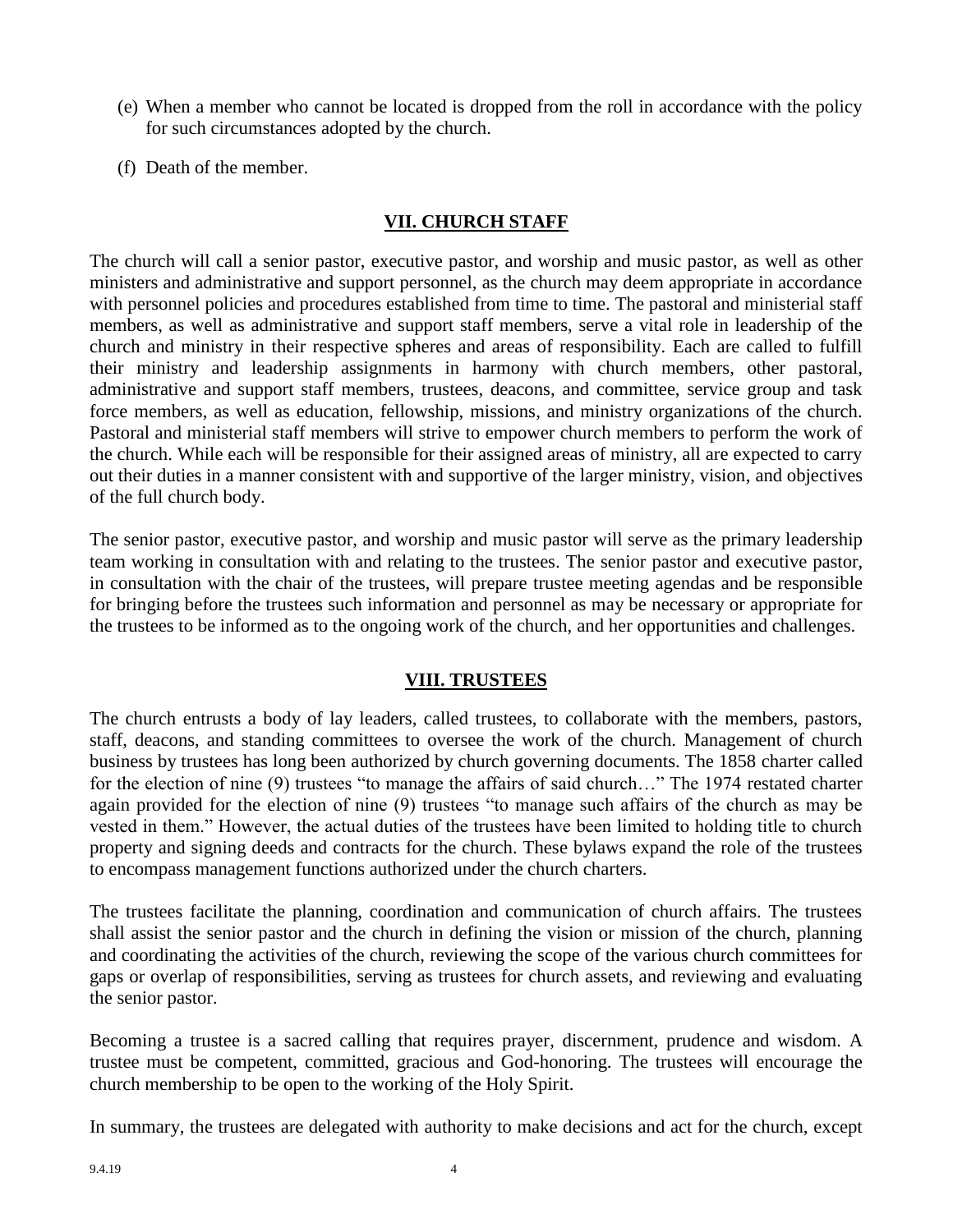- (e) When a member who cannot be located is dropped from the roll in accordance with the policy for such circumstances adopted by the church.
- (f) Death of the member.

## **VII. CHURCH STAFF**

The church will call a senior pastor, executive pastor, and worship and music pastor, as well as other ministers and administrative and support personnel, as the church may deem appropriate in accordance with personnel policies and procedures established from time to time. The pastoral and ministerial staff members, as well as administrative and support staff members, serve a vital role in leadership of the church and ministry in their respective spheres and areas of responsibility. Each are called to fulfill their ministry and leadership assignments in harmony with church members, other pastoral, administrative and support staff members, trustees, deacons, and committee, service group and task force members, as well as education, fellowship, missions, and ministry organizations of the church. Pastoral and ministerial staff members will strive to empower church members to perform the work of the church. While each will be responsible for their assigned areas of ministry, all are expected to carry out their duties in a manner consistent with and supportive of the larger ministry, vision, and objectives of the full church body.

The senior pastor, executive pastor, and worship and music pastor will serve as the primary leadership team working in consultation with and relating to the trustees. The senior pastor and executive pastor, in consultation with the chair of the trustees, will prepare trustee meeting agendas and be responsible for bringing before the trustees such information and personnel as may be necessary or appropriate for the trustees to be informed as to the ongoing work of the church, and her opportunities and challenges.

## **VIII. TRUSTEES**

The church entrusts a body of lay leaders, called trustees, to collaborate with the members, pastors, staff, deacons, and standing committees to oversee the work of the church. Management of church business by trustees has long been authorized by church governing documents. The 1858 charter called for the election of nine (9) trustees "to manage the affairs of said church…" The 1974 restated charter again provided for the election of nine (9) trustees "to manage such affairs of the church as may be vested in them." However, the actual duties of the trustees have been limited to holding title to church property and signing deeds and contracts for the church. These bylaws expand the role of the trustees to encompass management functions authorized under the church charters.

The trustees facilitate the planning, coordination and communication of church affairs. The trustees shall assist the senior pastor and the church in defining the vision or mission of the church, planning and coordinating the activities of the church, reviewing the scope of the various church committees for gaps or overlap of responsibilities, serving as trustees for church assets, and reviewing and evaluating the senior pastor.

Becoming a trustee is a sacred calling that requires prayer, discernment, prudence and wisdom. A trustee must be competent, committed, gracious and God-honoring. The trustees will encourage the church membership to be open to the working of the Holy Spirit.

In summary, the trustees are delegated with authority to make decisions and act for the church, except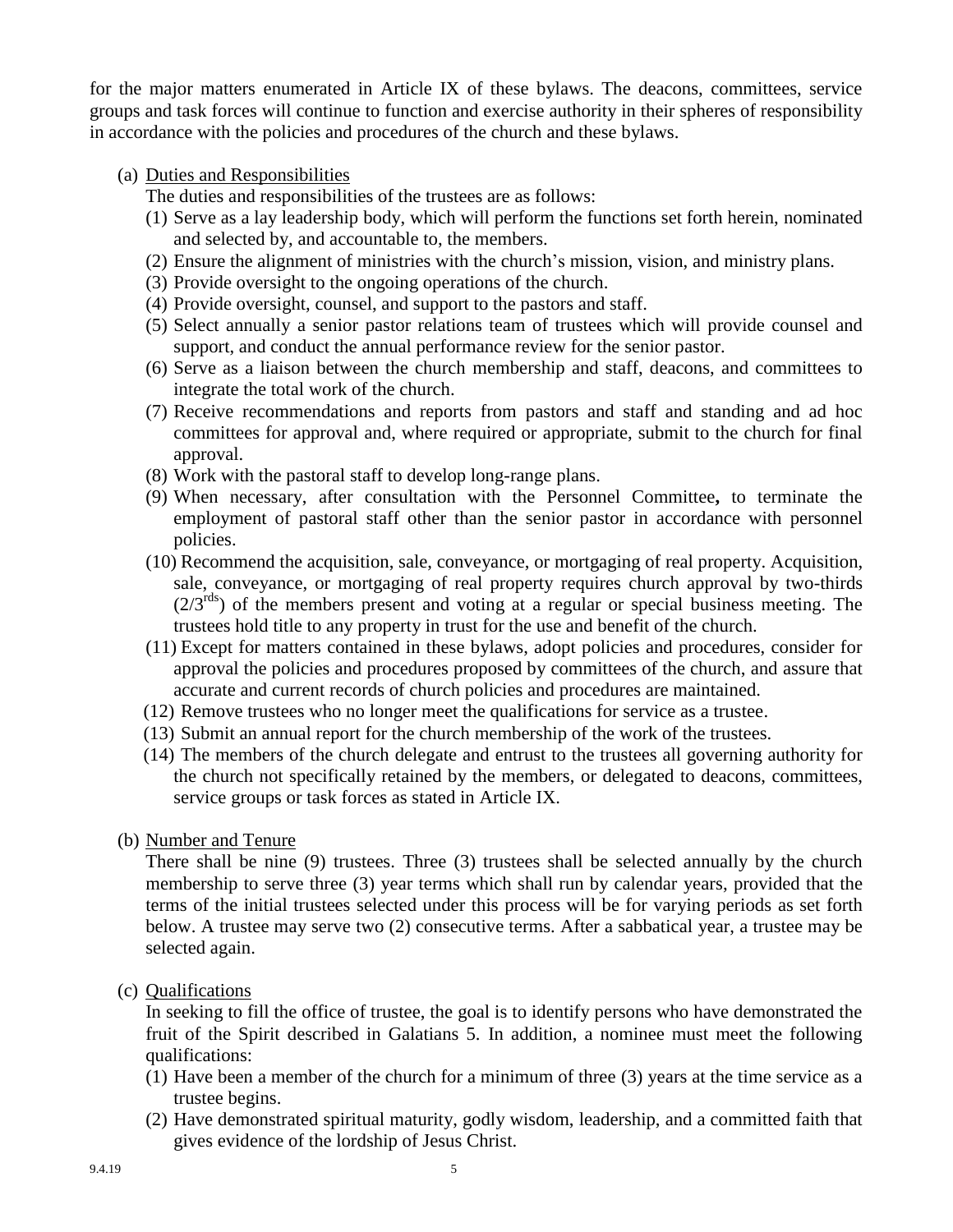for the major matters enumerated in Article IX of these bylaws. The deacons, committees, service groups and task forces will continue to function and exercise authority in their spheres of responsibility in accordance with the policies and procedures of the church and these bylaws.

### (a) Duties and Responsibilities

The duties and responsibilities of the trustees are as follows:

- (1) Serve as a lay leadership body, which will perform the functions set forth herein, nominated and selected by, and accountable to, the members.
- (2) Ensure the alignment of ministries with the church's mission, vision, and ministry plans.
- (3) Provide oversight to the ongoing operations of the church.
- (4) Provide oversight, counsel, and support to the pastors and staff.
- (5) Select annually a senior pastor relations team of trustees which will provide counsel and support, and conduct the annual performance review for the senior pastor.
- (6) Serve as a liaison between the church membership and staff, deacons, and committees to integrate the total work of the church.
- (7) Receive recommendations and reports from pastors and staff and standing and ad hoc committees for approval and, where required or appropriate, submit to the church for final approval.
- (8) Work with the pastoral staff to develop long-range plans.
- (9) When necessary, after consultation with the Personnel Committee**,** to terminate the employment of pastoral staff other than the senior pastor in accordance with personnel policies.
- (10) Recommend the acquisition, sale, conveyance, or mortgaging of real property. Acquisition, sale, conveyance, or mortgaging of real property requires church approval by two-thirds  $(2/3^{rds})$  of the members present and voting at a regular or special business meeting. The trustees hold title to any property in trust for the use and benefit of the church.
- (11) Except for matters contained in these bylaws, adopt policies and procedures, consider for approval the policies and procedures proposed by committees of the church, and assure that accurate and current records of church policies and procedures are maintained.
- (12) Remove trustees who no longer meet the qualifications for service as a trustee.
- (13) Submit an annual report for the church membership of the work of the trustees.
- (14) The members of the church delegate and entrust to the trustees all governing authority for the church not specifically retained by the members, or delegated to deacons, committees, service groups or task forces as stated in Article IX.
- (b) Number and Tenure

There shall be nine (9) trustees. Three (3) trustees shall be selected annually by the church membership to serve three (3) year terms which shall run by calendar years, provided that the terms of the initial trustees selected under this process will be for varying periods as set forth below. A trustee may serve two (2) consecutive terms. After a sabbatical year, a trustee may be selected again.

(c) Qualifications

In seeking to fill the office of trustee, the goal is to identify persons who have demonstrated the fruit of the Spirit described in Galatians 5. In addition, a nominee must meet the following qualifications:

- (1) Have been a member of the church for a minimum of three (3) years at the time service as a trustee begins.
- (2) Have demonstrated spiritual maturity, godly wisdom, leadership, and a committed faith that gives evidence of the lordship of Jesus Christ.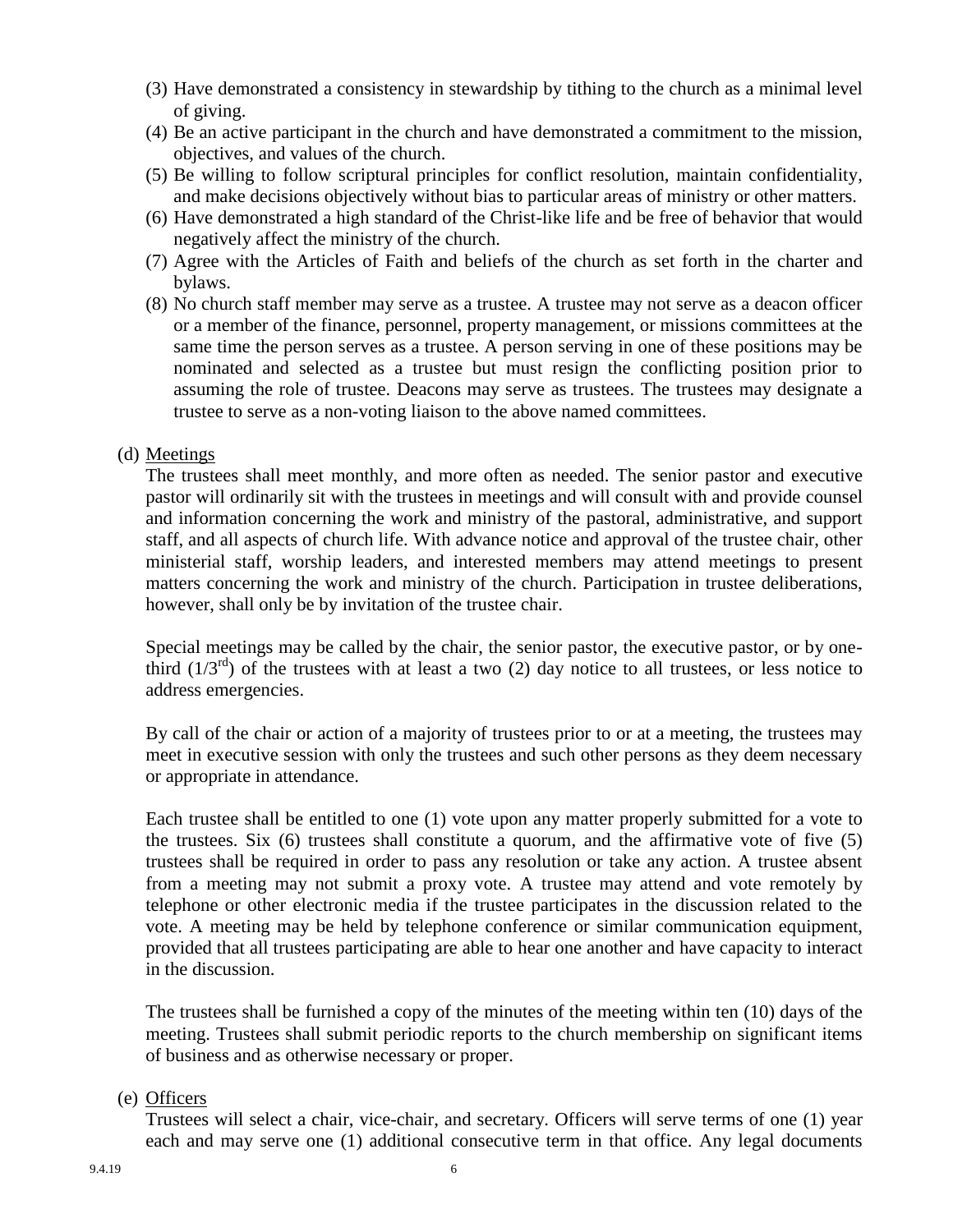- (3) Have demonstrated a consistency in stewardship by tithing to the church as a minimal level of giving.
- (4) Be an active participant in the church and have demonstrated a commitment to the mission, objectives, and values of the church.
- (5) Be willing to follow scriptural principles for conflict resolution, maintain confidentiality, and make decisions objectively without bias to particular areas of ministry or other matters.
- (6) Have demonstrated a high standard of the Christ-like life and be free of behavior that would negatively affect the ministry of the church.
- (7) Agree with the Articles of Faith and beliefs of the church as set forth in the charter and bylaws.
- (8) No church staff member may serve as a trustee. A trustee may not serve as a deacon officer or a member of the finance, personnel, property management, or missions committees at the same time the person serves as a trustee. A person serving in one of these positions may be nominated and selected as a trustee but must resign the conflicting position prior to assuming the role of trustee. Deacons may serve as trustees. The trustees may designate a trustee to serve as a non-voting liaison to the above named committees.

#### (d) Meetings

The trustees shall meet monthly, and more often as needed. The senior pastor and executive pastor will ordinarily sit with the trustees in meetings and will consult with and provide counsel and information concerning the work and ministry of the pastoral, administrative, and support staff, and all aspects of church life. With advance notice and approval of the trustee chair, other ministerial staff, worship leaders, and interested members may attend meetings to present matters concerning the work and ministry of the church. Participation in trustee deliberations, however, shall only be by invitation of the trustee chair.

Special meetings may be called by the chair, the senior pastor, the executive pastor, or by onethird  $(1/3^{rd})$  of the trustees with at least a two (2) day notice to all trustees, or less notice to address emergencies.

By call of the chair or action of a majority of trustees prior to or at a meeting, the trustees may meet in executive session with only the trustees and such other persons as they deem necessary or appropriate in attendance.

Each trustee shall be entitled to one (1) vote upon any matter properly submitted for a vote to the trustees. Six (6) trustees shall constitute a quorum, and the affirmative vote of five (5) trustees shall be required in order to pass any resolution or take any action. A trustee absent from a meeting may not submit a proxy vote. A trustee may attend and vote remotely by telephone or other electronic media if the trustee participates in the discussion related to the vote. A meeting may be held by telephone conference or similar communication equipment, provided that all trustees participating are able to hear one another and have capacity to interact in the discussion.

The trustees shall be furnished a copy of the minutes of the meeting within ten (10) days of the meeting. Trustees shall submit periodic reports to the church membership on significant items of business and as otherwise necessary or proper.

#### (e) Officers

Trustees will select a chair, vice-chair, and secretary. Officers will serve terms of one (1) year each and may serve one (1) additional consecutive term in that office. Any legal documents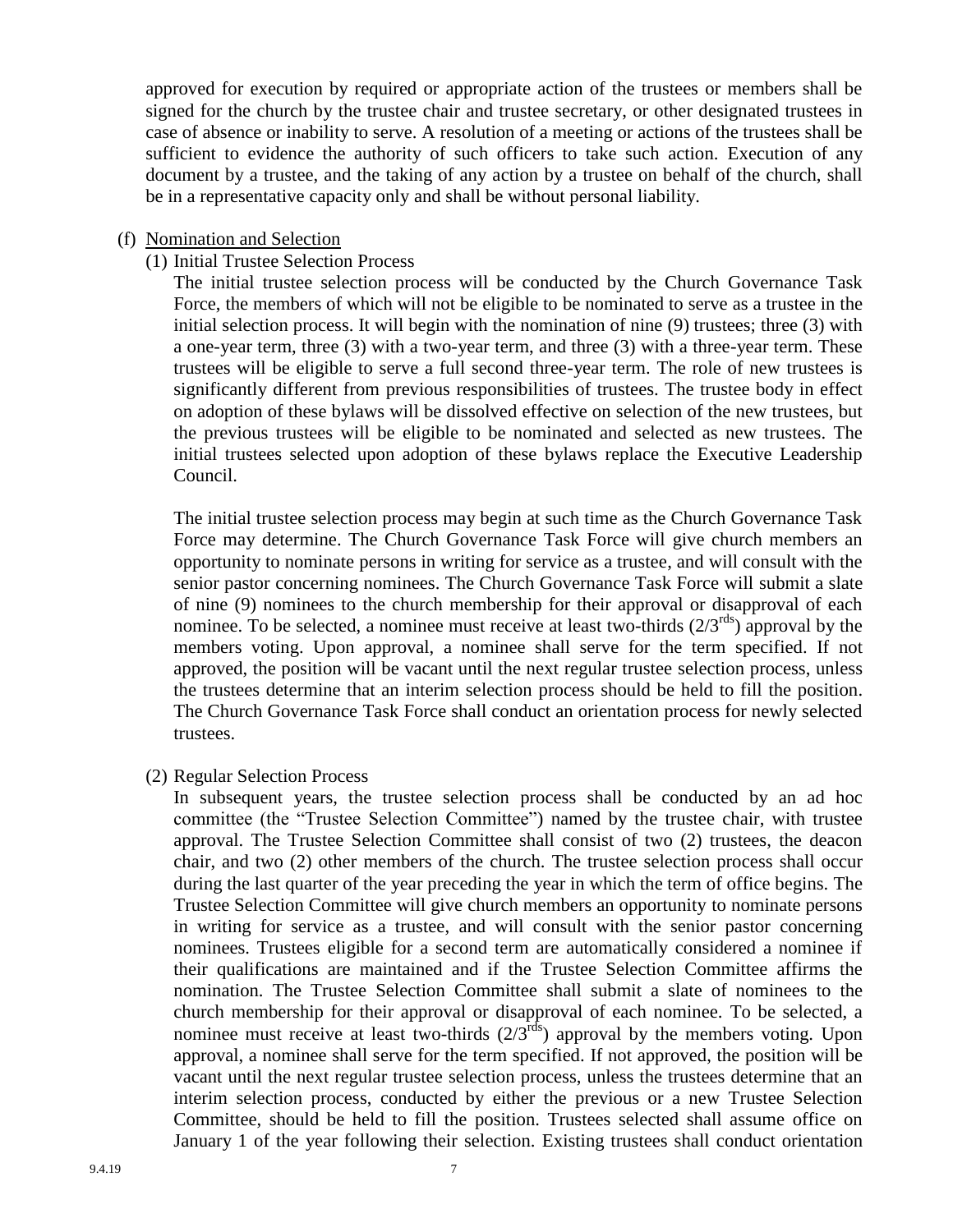approved for execution by required or appropriate action of the trustees or members shall be signed for the church by the trustee chair and trustee secretary, or other designated trustees in case of absence or inability to serve. A resolution of a meeting or actions of the trustees shall be sufficient to evidence the authority of such officers to take such action. Execution of any document by a trustee, and the taking of any action by a trustee on behalf of the church, shall be in a representative capacity only and shall be without personal liability.

#### (f) Nomination and Selection

#### (1) Initial Trustee Selection Process

The initial trustee selection process will be conducted by the Church Governance Task Force, the members of which will not be eligible to be nominated to serve as a trustee in the initial selection process. It will begin with the nomination of nine (9) trustees; three (3) with a one-year term, three (3) with a two-year term, and three (3) with a three-year term. These trustees will be eligible to serve a full second three-year term. The role of new trustees is significantly different from previous responsibilities of trustees. The trustee body in effect on adoption of these bylaws will be dissolved effective on selection of the new trustees, but the previous trustees will be eligible to be nominated and selected as new trustees. The initial trustees selected upon adoption of these bylaws replace the Executive Leadership Council.

The initial trustee selection process may begin at such time as the Church Governance Task Force may determine. The Church Governance Task Force will give church members an opportunity to nominate persons in writing for service as a trustee, and will consult with the senior pastor concerning nominees. The Church Governance Task Force will submit a slate of nine (9) nominees to the church membership for their approval or disapproval of each nominee. To be selected, a nominee must receive at least two-thirds  $(2/3^{rds})$  approval by the members voting. Upon approval, a nominee shall serve for the term specified. If not approved, the position will be vacant until the next regular trustee selection process, unless the trustees determine that an interim selection process should be held to fill the position. The Church Governance Task Force shall conduct an orientation process for newly selected trustees.

(2) Regular Selection Process

In subsequent years, the trustee selection process shall be conducted by an ad hoc committee (the "Trustee Selection Committee") named by the trustee chair, with trustee approval. The Trustee Selection Committee shall consist of two (2) trustees, the deacon chair, and two (2) other members of the church. The trustee selection process shall occur during the last quarter of the year preceding the year in which the term of office begins. The Trustee Selection Committee will give church members an opportunity to nominate persons in writing for service as a trustee, and will consult with the senior pastor concerning nominees. Trustees eligible for a second term are automatically considered a nominee if their qualifications are maintained and if the Trustee Selection Committee affirms the nomination. The Trustee Selection Committee shall submit a slate of nominees to the church membership for their approval or disapproval of each nominee. To be selected, a nominee must receive at least two-thirds  $(2/3<sup>rds</sup>)$  approval by the members voting. Upon approval, a nominee shall serve for the term specified. If not approved, the position will be vacant until the next regular trustee selection process, unless the trustees determine that an interim selection process, conducted by either the previous or a new Trustee Selection Committee, should be held to fill the position. Trustees selected shall assume office on January 1 of the year following their selection. Existing trustees shall conduct orientation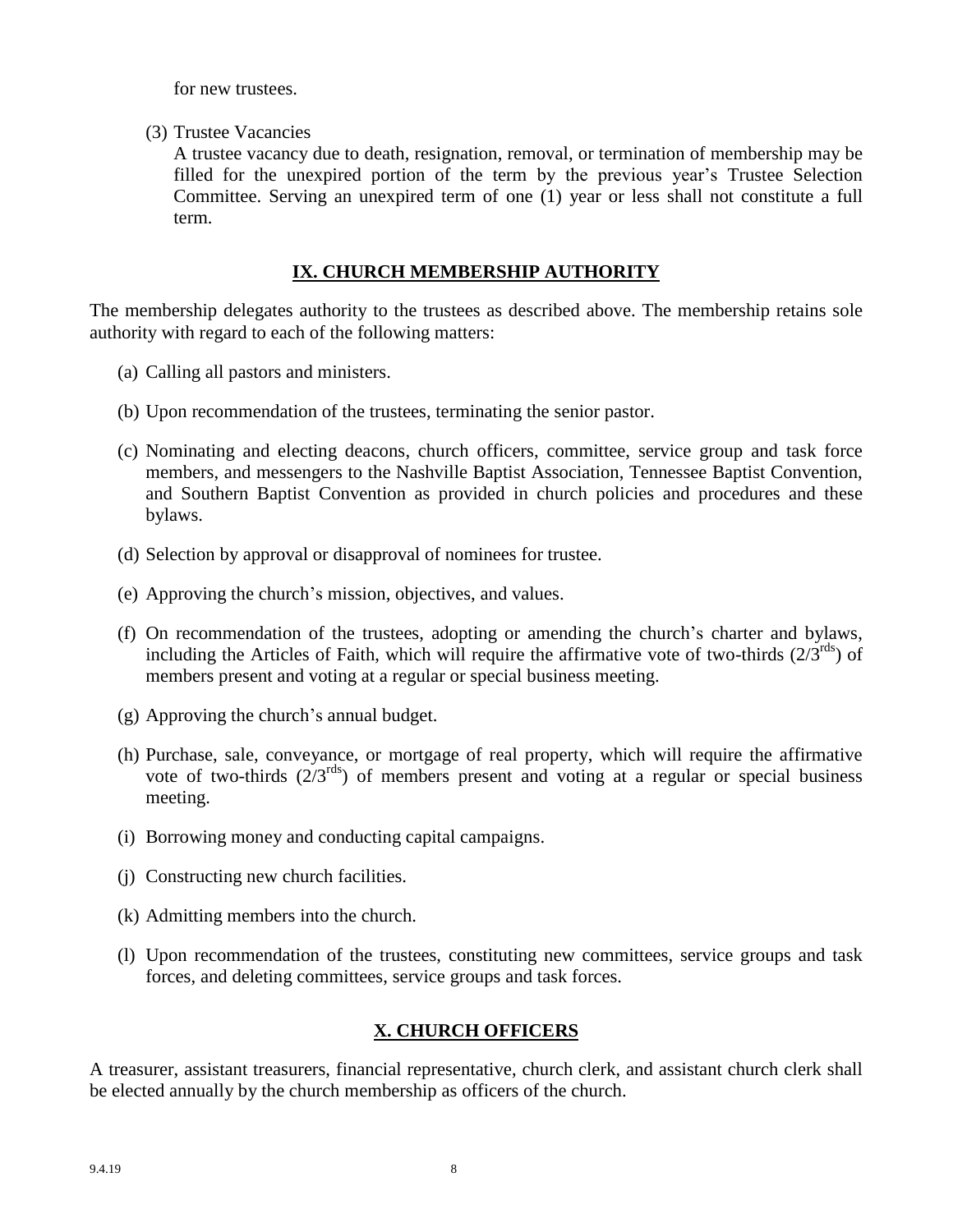for new trustees.

(3) Trustee Vacancies

A trustee vacancy due to death, resignation, removal, or termination of membership may be filled for the unexpired portion of the term by the previous year's Trustee Selection Committee. Serving an unexpired term of one (1) year or less shall not constitute a full term.

## **IX. CHURCH MEMBERSHIP AUTHORITY**

The membership delegates authority to the trustees as described above. The membership retains sole authority with regard to each of the following matters:

- (a) Calling all pastors and ministers.
- (b) Upon recommendation of the trustees, terminating the senior pastor.
- (c) Nominating and electing deacons, church officers, committee, service group and task force members, and messengers to the Nashville Baptist Association, Tennessee Baptist Convention, and Southern Baptist Convention as provided in church policies and procedures and these bylaws.
- (d) Selection by approval or disapproval of nominees for trustee.
- (e) Approving the church's mission, objectives, and values.
- (f) On recommendation of the trustees, adopting or amending the church's charter and bylaws, including the Articles of Faith, which will require the affirmative vote of two-thirds  $(2/3^{rds})$  of members present and voting at a regular or special business meeting.
- (g) Approving the church's annual budget.
- (h) Purchase, sale, conveyance, or mortgage of real property, which will require the affirmative vote of two-thirds  $(2/3^{rds})$  of members present and voting at a regular or special business meeting.
- (i) Borrowing money and conducting capital campaigns.
- (j) Constructing new church facilities.
- (k) Admitting members into the church.
- (l) Upon recommendation of the trustees, constituting new committees, service groups and task forces, and deleting committees, service groups and task forces.

# **X. CHURCH OFFICERS**

A treasurer, assistant treasurers, financial representative, church clerk, and assistant church clerk shall be elected annually by the church membership as officers of the church.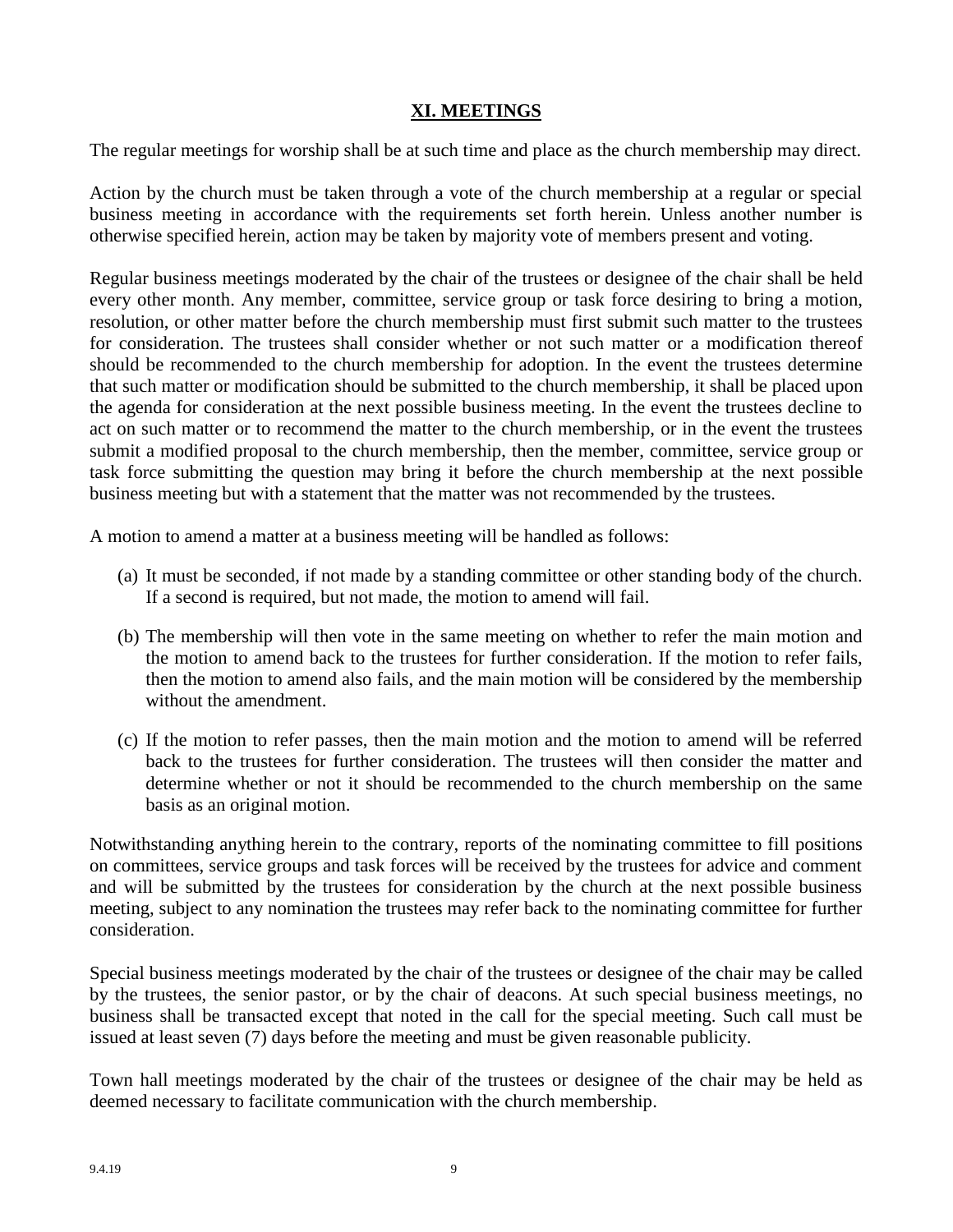## **XI. MEETINGS**

The regular meetings for worship shall be at such time and place as the church membership may direct.

Action by the church must be taken through a vote of the church membership at a regular or special business meeting in accordance with the requirements set forth herein. Unless another number is otherwise specified herein, action may be taken by majority vote of members present and voting.

Regular business meetings moderated by the chair of the trustees or designee of the chair shall be held every other month. Any member, committee, service group or task force desiring to bring a motion, resolution, or other matter before the church membership must first submit such matter to the trustees for consideration. The trustees shall consider whether or not such matter or a modification thereof should be recommended to the church membership for adoption. In the event the trustees determine that such matter or modification should be submitted to the church membership, it shall be placed upon the agenda for consideration at the next possible business meeting. In the event the trustees decline to act on such matter or to recommend the matter to the church membership, or in the event the trustees submit a modified proposal to the church membership, then the member, committee, service group or task force submitting the question may bring it before the church membership at the next possible business meeting but with a statement that the matter was not recommended by the trustees.

A motion to amend a matter at a business meeting will be handled as follows:

- (a) It must be seconded, if not made by a standing committee or other standing body of the church. If a second is required, but not made, the motion to amend will fail.
- (b) The membership will then vote in the same meeting on whether to refer the main motion and the motion to amend back to the trustees for further consideration. If the motion to refer fails, then the motion to amend also fails, and the main motion will be considered by the membership without the amendment.
- (c) If the motion to refer passes, then the main motion and the motion to amend will be referred back to the trustees for further consideration. The trustees will then consider the matter and determine whether or not it should be recommended to the church membership on the same basis as an original motion.

Notwithstanding anything herein to the contrary, reports of the nominating committee to fill positions on committees, service groups and task forces will be received by the trustees for advice and comment and will be submitted by the trustees for consideration by the church at the next possible business meeting, subject to any nomination the trustees may refer back to the nominating committee for further consideration.

Special business meetings moderated by the chair of the trustees or designee of the chair may be called by the trustees, the senior pastor, or by the chair of deacons. At such special business meetings, no business shall be transacted except that noted in the call for the special meeting. Such call must be issued at least seven (7) days before the meeting and must be given reasonable publicity.

Town hall meetings moderated by the chair of the trustees or designee of the chair may be held as deemed necessary to facilitate communication with the church membership.